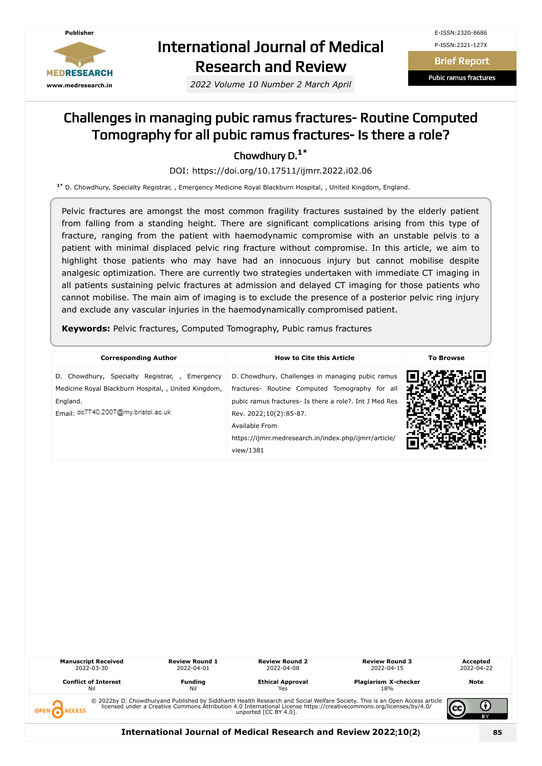

# International Journal of Medical Research and Review

*2022 Volume 10 Number 2 March April*

Brief Report

Pubic ramus fractures

#### Challenges in managing pubic ramus fractures- Routine Computed Tomography for all pubic ramus fractures- Is there a role?

Chowdhury D. **1\***

DOI: https://doi.org/10.17511/ijmrr.2022.i02.06

**1\*** D. Chowdhury, Specialty Registrar, , Emergency Medicine Royal Blackburn Hospital, , United Kingdom, England.

Pelvic fractures are amongst the most common fragility fractures sustained by the elderly patient from falling from a standing height. There are significant complications arising from this type of fracture, ranging from the patient with haemodynamic compromise with an unstable pelvis to a patient with minimal displaced pelvic ring fracture without compromise. In this article, we aim to highlight those patients who may have had an innocuous injury but cannot mobilise despite analgesic optimization. There are currently two strategies undertaken with immediate CT imaging in all patients sustaining pelvic fractures at admission and delayed CT imaging for those patients who cannot mobilise. The main aim of imaging is to exclude the presence of a posterior pelvic ring injury and exclude any vascular injuries in the haemodynamically compromised patient.

**Keywords:** Pelvic fractures, Computed Tomography, Pubic ramus fractures

| <b>Corresponding Author</b>                                                                                                                              | <b>How to Cite this Article</b>                                                                                                                                                                                                                                                | <b>To Browse</b> |  |
|----------------------------------------------------------------------------------------------------------------------------------------------------------|--------------------------------------------------------------------------------------------------------------------------------------------------------------------------------------------------------------------------------------------------------------------------------|------------------|--|
| D. Chowdhury, Specialty Registrar, , Emergency<br>Medicine Royal Blackburn Hospital, , United Kingdom,<br>England.<br>Email dc7740.2007@my.bristol.ac.uk | D. Chowdhury, Challenges in managing pubic ramus<br>fractures- Routine Computed Tomography for all<br>pubic ramus fractures- Is there a role?. Int J Med Res<br>Rev. 2022;10(2):85-87.<br>Available From<br>https://ijmrr.medresearch.in/index.php/ijmrr/article/<br>view/1381 |                  |  |

| <b>Manuscript Received</b><br>2022-03-30<br><b>Conflict of Interest</b><br>Nil | <b>Review Round 1</b><br>2022-04-01<br><b>Funding</b><br>Nil | <b>Review Round 2</b><br>2022-04-08<br><b>Ethical Approval</b><br>Yes | <b>Review Round 3</b><br>2022-04-15<br>Plagiarism X-checker<br>18%                                                                                                                                                             | Accepted<br>2022-04-22<br>Note |
|--------------------------------------------------------------------------------|--------------------------------------------------------------|-----------------------------------------------------------------------|--------------------------------------------------------------------------------------------------------------------------------------------------------------------------------------------------------------------------------|--------------------------------|
|                                                                                |                                                              | unported [CC BY 4.0].                                                 | © 2022by D. Chowdhuryand Published by Siddharth Health Research and Social Welfare Society. This is an Open Access article licensed under a Creative Commons Attribution 4.0 International License https://creativecommons.org | вY                             |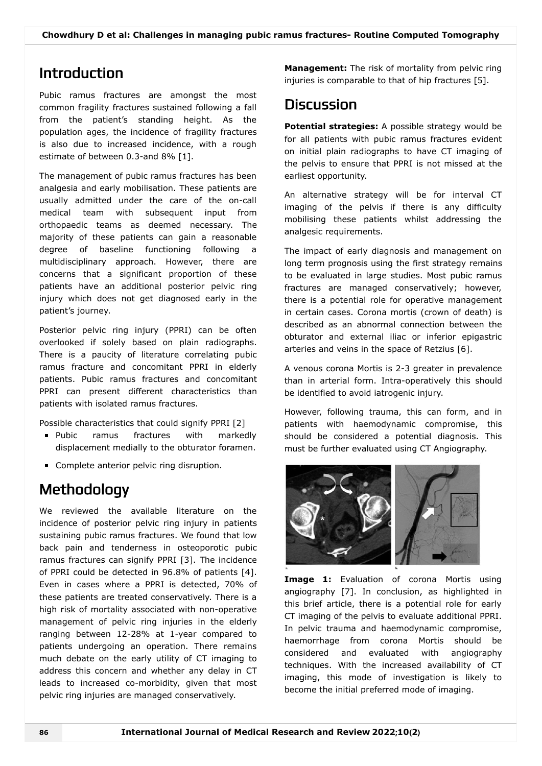### Introduction

Pubic ramus fractures are amongst the most common fragility fractures sustained following a fall from the patient's standing height. As the population ages, the incidence of fragility fractures is also due to increased incidence, with a rough estimate of between 0.3-and 8% [1].

The management of pubic ramus fractures has been analgesia and early mobilisation. These patients are usually admitted under the care of the on-call medical team with subsequent input from orthopaedic teams as deemed necessary. The majority of these patients can gain a reasonable degree of baseline functioning following a multidisciplinary approach. However, there are concerns that a significant proportion of these patients have an additional posterior pelvic ring injury which does not get diagnosed early in the patient's journey.

Posterior pelvic ring injury (PPRI) can be often overlooked if solely based on plain radiographs. There is a paucity of literature correlating pubic ramus fracture and concomitant PPRI in elderly patients. Pubic ramus fractures and concomitant PPRI can present different characteristics than patients with isolated ramus fractures.

Possible characteristics that could signify PPRI [2]

- **Pubic** ramus fractures with markedly displacement medially to the obturator foramen.
- Complete anterior pelvic ring disruption.

# **Methodology**

We reviewed the available literature on the incidence of posterior pelvic ring injury in patients sustaining pubic ramus fractures. We found that low back pain and tenderness in osteoporotic pubic ramus fractures can signify PPRI [3]. The incidence of PPRI could be detected in 96.8% of patients [4]. Even in cases where a PPRI is detected, 70% of these patients are treated conservatively. There is a high risk of mortality associated with non-operative management of pelvic ring injuries in the elderly ranging between 12-28% at 1-year compared to patients undergoing an operation. There remains much debate on the early utility of CT imaging to address this concern and whether any delay in CT leads to increased co-morbidity, given that most pelvic ring injuries are managed conservatively.

**Management:** The risk of mortality from pelvic ring injuries is comparable to that of hip fractures [5].

## **Discussion**

**Potential strategies:** A possible strategy would be for all patients with pubic ramus fractures evident on initial plain radiographs to have CT imaging of the pelvis to ensure that PPRI is not missed at the earliest opportunity.

An alternative strategy will be for interval CT imaging of the pelvis if there is any difficulty mobilising these patients whilst addressing the analgesic requirements.

The impact of early diagnosis and management on long term prognosis using the first strategy remains to be evaluated in large studies. Most pubic ramus fractures are managed conservatively; however, there is a potential role for operative management in certain cases. Corona mortis (crown of death) is described as an abnormal connection between the obturator and external iliac or inferior epigastric arteries and veins in the space of Retzius [6].

A venous corona Mortis is 2-3 greater in prevalence than in arterial form. Intra-operatively this should be identified to avoid iatrogenic injury.

However, following trauma, this can form, and in patients with haemodynamic compromise, this should be considered a potential diagnosis. This must be further evaluated using CT Angiography.



**Image 1:** Evaluation of corona Mortis using angiography [7]. In conclusion, as highlighted in this brief article, there is a potential role for early CT imaging of the pelvis to evaluate additional PPRI. In pelvic trauma and haemodynamic compromise, haemorrhage from corona Mortis should be considered and evaluated with angiography techniques. With the increased availability of CT imaging, this mode of investigation is likely to become the initial preferred mode of imaging.